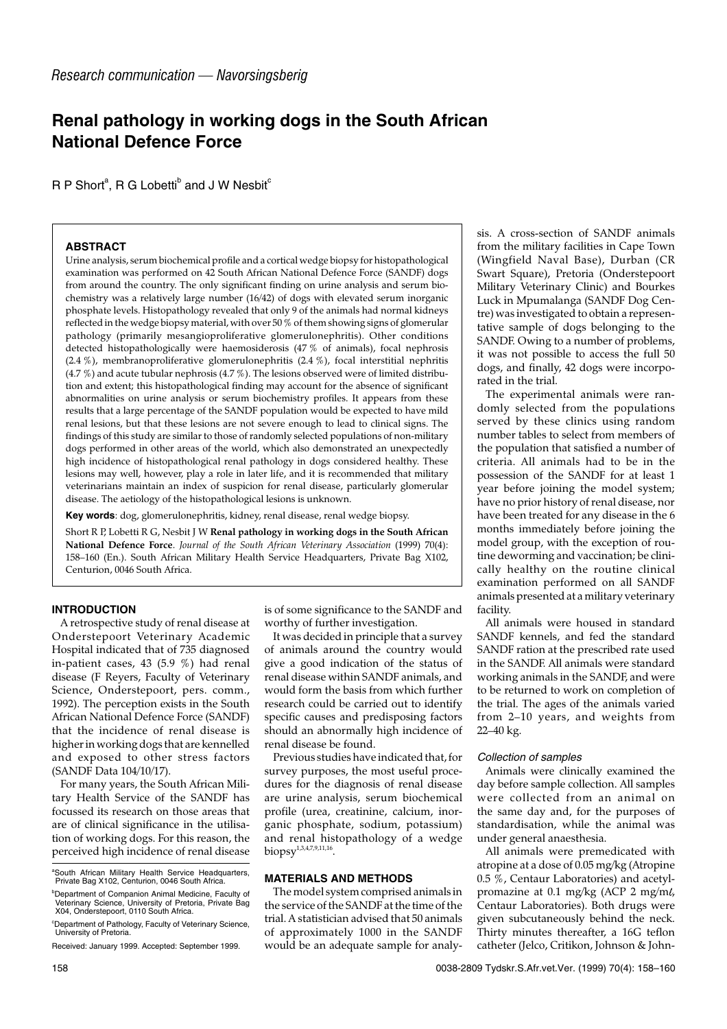# **Renal pathology in working dogs in the South African National Defence Force**

 $R$  P Short $^{\rm a}$ , R G Lobetti $^{\rm b}$  and J W Nesbit $^{\rm c}$ 

## **ABSTRACT**

Urine analysis, serum biochemical profile and a cortical wedge biopsy for histopathological examination was performed on 42 South African National Defence Force (SANDF) dogs from around the country. The only significant finding on urine analysis and serum biochemistry was a relatively large number (16/42) of dogs with elevated serum inorganic phosphate levels. Histopathology revealed that only 9 of the animals had normal kidneys reflected in the wedge biopsy material, with over 50 % of them showing signs of glomerular pathology (primarily mesangioproliferative glomerulonephritis). Other conditions detected histopathologically were haemosiderosis (47 % of animals), focal nephrosis (2.4 %), membranoproliferative glomerulonephritis (2.4 %), focal interstitial nephritis (4.7 %) and acute tubular nephrosis (4.7 %). The lesions observed were of limited distribution and extent; this histopathological finding may account for the absence of significant abnormalities on urine analysis or serum biochemistry profiles. It appears from these results that a large percentage of the SANDF population would be expected to have mild renal lesions, but that these lesions are not severe enough to lead to clinical signs. The findings of this study are similar to those of randomly selected populations of non-military dogs performed in other areas of the world, which also demonstrated an unexpectedly high incidence of histopathological renal pathology in dogs considered healthy. These lesions may well, however, play a role in later life, and it is recommended that military veterinarians maintain an index of suspicion for renal disease, particularly glomerular disease. The aetiology of the histopathological lesions is unknown.

**Key words**: dog, glomerulonephritis, kidney, renal disease, renal wedge biopsy.

Short R P, Lobetti R G, Nesbit J W **Renal pathology in working dogs in the South African National Defence Force**. *Journal of the South African Veterinary Association* (1999) 70(4): 158–160 (En.). South African Military Health Service Headquarters, Private Bag X102, Centurion, 0046 South Africa.

## **INTRODUCTION**

A retrospective study of renal disease at Onderstepoort Veterinary Academic Hospital indicated that of 735 diagnosed in-patient cases, 43 (5.9 %) had renal disease (F Reyers, Faculty of Veterinary Science, Onderstepoort, pers. comm., 1992). The perception exists in the South African National Defence Force (SANDF) that the incidence of renal disease is higher in working dogs that are kennelled and exposed to other stress factors (SANDF Data 104/10/17).

For many years, the South African Military Health Service of the SANDF has focussed its research on those areas that are of clinical significance in the utilisation of working dogs. For this reason, the perceived high incidence of renal disease is of some significance to the SANDF and worthy of further investigation.

It was decided in principle that a survey of animals around the country would give a good indication of the status of renal disease within SANDF animals, and would form the basis from which further research could be carried out to identify specific causes and predisposing factors should an abnormally high incidence of renal disease be found.

Previous studies have indicated that, for survey purposes, the most useful procedures for the diagnosis of renal disease are urine analysis, serum biochemical profile (urea, creatinine, calcium, inorganic phosphate, sodium, potassium) and renal histopathology of a wedge biopsy<sup>1,3,4,7,9,11,16</sup>.

## **MATERIALS AND METHODS**

The model system comprised animals in the service of the SANDF at the time of the trial. A statistician advised that 50 animals of approximately 1000 in the SANDF would be an adequate sample for analysis. A cross-section of SANDF animals from the military facilities in Cape Town (Wingfield Naval Base), Durban (CR Swart Square), Pretoria (Onderstepoort Military Veterinary Clinic) and Bourkes Luck in Mpumalanga (SANDF Dog Centre) was investigated to obtain a representative sample of dogs belonging to the SANDF. Owing to a number of problems, it was not possible to access the full 50 dogs, and finally, 42 dogs were incorporated in the trial.

The experimental animals were randomly selected from the populations served by these clinics using random number tables to select from members of the population that satisfied a number of criteria. All animals had to be in the possession of the SANDF for at least 1 year before joining the model system; have no prior history of renal disease, nor have been treated for any disease in the 6 months immediately before joining the model group, with the exception of routine deworming and vaccination; be clinically healthy on the routine clinical examination performed on all SANDF animals presented at a military veterinary facility.

All animals were housed in standard SANDF kennels, and fed the standard SANDF ration at the prescribed rate used in the SANDF. All animals were standard working animals in the SANDF, and were to be returned to work on completion of the trial. The ages of the animals varied from 2–10 years, and weights from 22–40 kg.

#### Collection of samples

Animals were clinically examined the day before sample collection. All samples were collected from an animal on the same day and, for the purposes of standardisation, while the animal was under general anaesthesia.

All animals were premedicated with atropine at a dose of  $0.05$  mg/kg (Atropine 0.5 %, Centaur Laboratories) and acetylpromazine at 0.1 mg/kg (ACP 2 mg/m $\ell$ , Centaur Laboratories). Both drugs were given subcutaneously behind the neck. Thirty minutes thereafter, a 16G teflon catheter (Jelco, Critikon, Johnson & John-

a South African Military Health Service Headquarters, Private Bag X102, Centurion, 0046 South Africa.

b Department of Companion Animal Medicine, Faculty of Veterinary Science, University of Pretoria, Private Bag X04, Onderstepoort, 0110 South Africa.

<sup>&</sup>lt;sup>c</sup>Department of Pathology, Faculty of Veterinary Science, University of Pretoria.

Received: January 1999. Accepted: September 1999.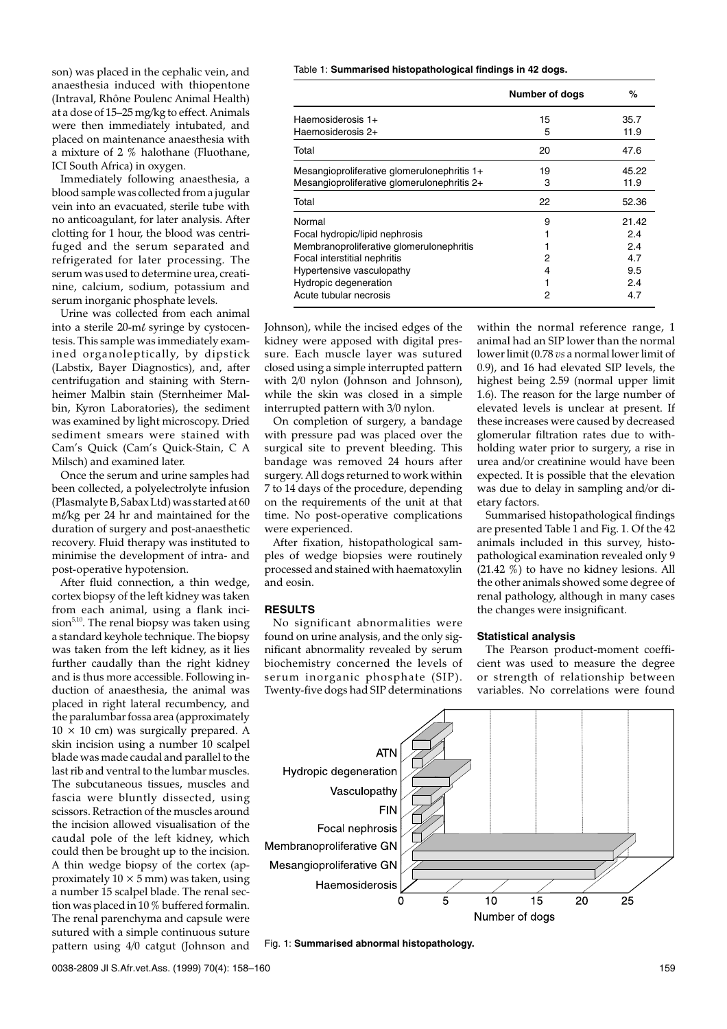son) was placed in the cephalic vein, and anaesthesia induced with thiopentone (Intraval, Rhône Poulenc Animal Health) at a dose of 15–25 mg/kg to effect. Animals were then immediately intubated, and placed on maintenance anaesthesia with a mixture of 2 % halothane (Fluothane, ICI South Africa) in oxygen.

Immediately following anaesthesia, a blood sample was collected from a jugular vein into an evacuated, sterile tube with no anticoagulant, for later analysis. After clotting for 1 hour, the blood was centrifuged and the serum separated and refrigerated for later processing. The serum was used to determine urea, creatinine, calcium, sodium, potassium and serum inorganic phosphate levels.

Urine was collected from each animal into a sterile  $20$ -m $\ell$  syringe by cystocentesis. This sample was immediately examined organoleptically, by dipstick (Labstix, Bayer Diagnostics), and, after centrifugation and staining with Sternheimer Malbin stain (Sternheimer Malbin, Kyron Laboratories), the sediment was examined by light microscopy. Dried sediment smears were stained with Cam's Quick (Cam's Quick-Stain, C A Milsch) and examined later.

Once the serum and urine samples had been collected, a polyelectrolyte infusion (Plasmalyte B, Sabax Ltd) was started at 60  $m/\text{kg}$  per 24 hr and maintained for the duration of surgery and post-anaesthetic recovery. Fluid therapy was instituted to minimise the development of intra- and post-operative hypotension.

After fluid connection, a thin wedge, cortex biopsy of the left kidney was taken from each animal, using a flank incision<sup>5,10</sup>. The renal biopsy was taken using a standard keyhole technique. The biopsy was taken from the left kidney, as it lies further caudally than the right kidney and is thus more accessible. Following induction of anaesthesia, the animal was placed in right lateral recumbency, and the paralumbar fossa area (approximately  $10 \times 10$  cm) was surgically prepared. A skin incision using a number 10 scalpel blade was made caudal and parallel to the last rib and ventral to the lumbar muscles. The subcutaneous tissues, muscles and fascia were bluntly dissected, using scissors. Retraction of the muscles around the incision allowed visualisation of the caudal pole of the left kidney, which could then be brought up to the incision. A thin wedge biopsy of the cortex (approximately  $10 \times 5$  mm) was taken, using a number 15 scalpel blade. The renal section was placed in 10 % buffered formalin. The renal parenchyma and capsule were sutured with a simple continuous suture pattern using 4/0 catgut (Johnson and

Table 1: **Summarised histopathological findings in 42 dogs.**

|                                             | <b>Number of dogs</b> | %     |
|---------------------------------------------|-----------------------|-------|
| Haemosiderosis 1+                           | 15                    | 35.7  |
| Haemosiderosis 2+                           | 5                     | 11.9  |
| Total                                       | 20                    | 47.6  |
| Mesangioproliferative glomerulonephritis 1+ | 19                    | 45.22 |
| Mesangioproliferative glomerulonephritis 2+ | 3                     | 11.9  |
| Total                                       | 22                    | 52.36 |
| Normal                                      | 9                     | 21.42 |
| Focal hydropic/lipid nephrosis              |                       | 2.4   |
| Membranoproliferative glomerulonephritis    |                       | 2.4   |
| Focal interstitial nephritis                | 2                     | 4.7   |
| Hypertensive vasculopathy                   | 4                     | 9.5   |
| Hydropic degeneration                       |                       | 2.4   |
| Acute tubular necrosis                      | 2                     | 4.7   |

Johnson), while the incised edges of the kidney were apposed with digital pressure. Each muscle layer was sutured closed using a simple interrupted pattern with 2/0 nylon (Johnson and Johnson), while the skin was closed in a simple interrupted pattern with 3/0 nylon.

On completion of surgery, a bandage with pressure pad was placed over the surgical site to prevent bleeding. This bandage was removed 24 hours after surgery. All dogs returned to work within 7 to 14 days of the procedure, depending on the requirements of the unit at that time. No post-operative complications were experienced.

After fixation, histopathological samples of wedge biopsies were routinely processed and stained with haematoxylin and eosin.

## **RESULTS**

No significant abnormalities were found on urine analysis, and the only significant abnormality revealed by serum biochemistry concerned the levels of serum inorganic phosphate (SIP). Twenty-five dogs had SIP determinations within the normal reference range, 1 animal had an SIP lower than the normal lower limit (0.78 *vs* a normal lower limit of 0.9), and 16 had elevated SIP levels, the highest being 2.59 (normal upper limit 1.6). The reason for the large number of elevated levels is unclear at present. If these increases were caused by decreased glomerular filtration rates due to withholding water prior to surgery, a rise in urea and/or creatinine would have been expected. It is possible that the elevation was due to delay in sampling and/or dietary factors.

Summarised histopathological findings are presented Table 1 and Fig. 1. Of the 42 animals included in this survey, histopathological examination revealed only 9 (21.42 %) to have no kidney lesions. All the other animals showed some degree of renal pathology, although in many cases the changes were insignificant.

#### **Statistical analysis**

The Pearson product-moment coefficient was used to measure the degree or strength of relationship between variables. No correlations were found



Fig. 1: **Summarised abnormal histopathology.**